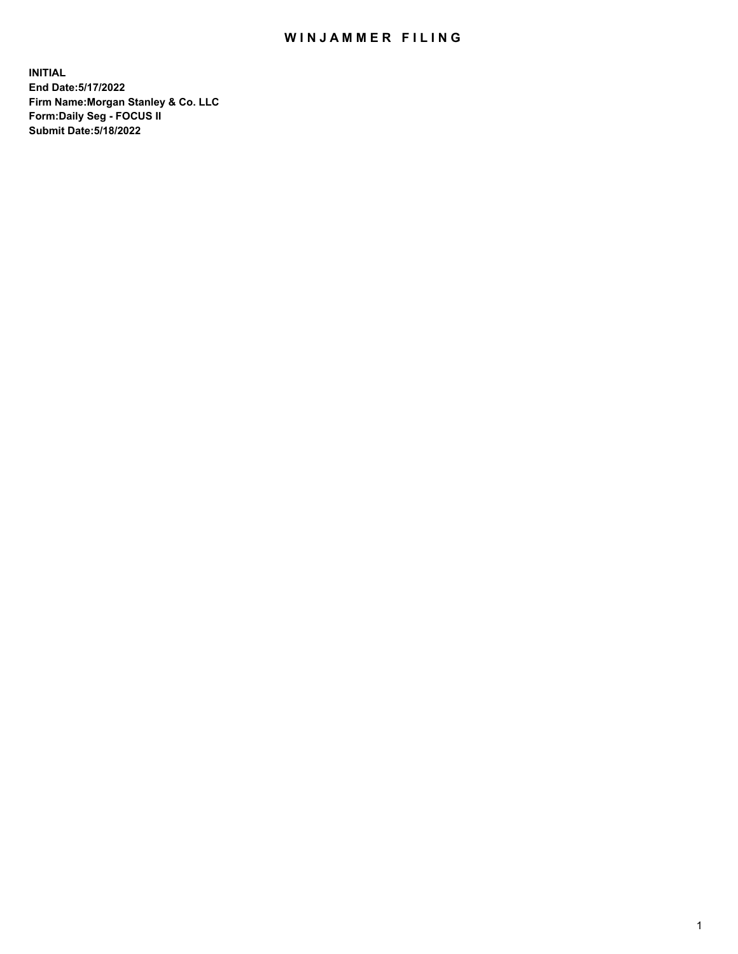## WIN JAMMER FILING

**INITIAL End Date:5/17/2022 Firm Name:Morgan Stanley & Co. LLC Form:Daily Seg - FOCUS II Submit Date:5/18/2022**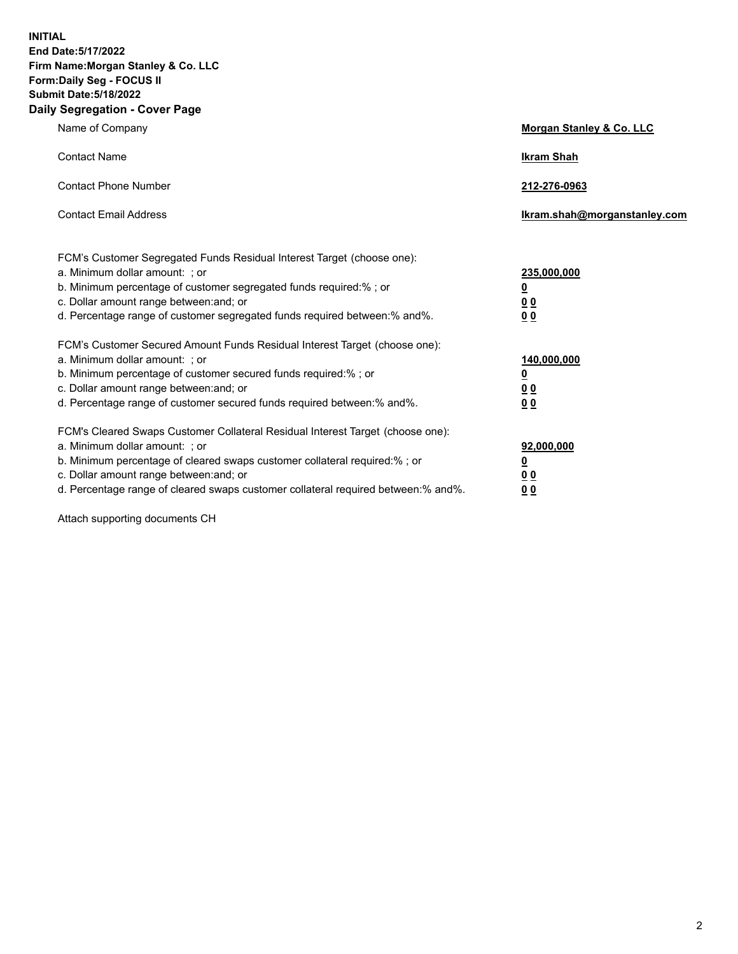**INITIAL End Date:5/17/2022 Firm Name:Morgan Stanley & Co. LLC Form:Daily Seg - FOCUS II Submit Date:5/18/2022 Daily Segregation - Cover Page**

| Name of Company                                                                                                                                                                                                                                                                                                                | <b>Morgan Stanley &amp; Co. LLC</b>                    |
|--------------------------------------------------------------------------------------------------------------------------------------------------------------------------------------------------------------------------------------------------------------------------------------------------------------------------------|--------------------------------------------------------|
| <b>Contact Name</b>                                                                                                                                                                                                                                                                                                            | <b>Ikram Shah</b>                                      |
| <b>Contact Phone Number</b>                                                                                                                                                                                                                                                                                                    | 212-276-0963                                           |
| <b>Contact Email Address</b>                                                                                                                                                                                                                                                                                                   | Ikram.shah@morganstanley.com                           |
| FCM's Customer Segregated Funds Residual Interest Target (choose one):<br>a. Minimum dollar amount: : or<br>b. Minimum percentage of customer segregated funds required:%; or<br>c. Dollar amount range between: and; or<br>d. Percentage range of customer segregated funds required between:% and%.                          | 235,000,000<br><u>0</u><br><u>00</u><br><u>00</u>      |
| FCM's Customer Secured Amount Funds Residual Interest Target (choose one):<br>a. Minimum dollar amount: ; or<br>b. Minimum percentage of customer secured funds required:%; or<br>c. Dollar amount range between: and; or<br>d. Percentage range of customer secured funds required between:% and%.                            | 140,000,000<br><u>0</u><br><u>00</u><br>0 <sub>0</sub> |
| FCM's Cleared Swaps Customer Collateral Residual Interest Target (choose one):<br>a. Minimum dollar amount: ; or<br>b. Minimum percentage of cleared swaps customer collateral required:% ; or<br>c. Dollar amount range between: and; or<br>d. Percentage range of cleared swaps customer collateral required between:% and%. | 92,000,000<br><u>0</u><br><u>00</u><br>00              |

Attach supporting documents CH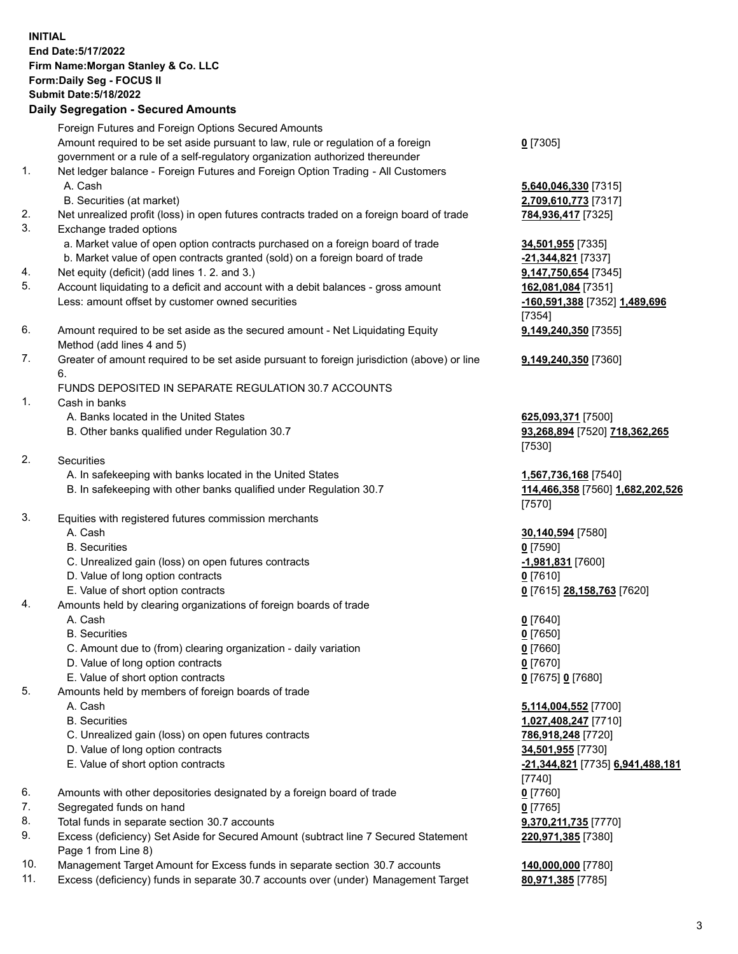## **INITIAL End Date:5/17/2022 Firm Name:Morgan Stanley & Co. LLC Form:Daily Seg - FOCUS II Submit Date:5/18/2022 Daily Segregation - Secured Amounts**

Foreign Futures and Foreign Options Secured Amounts Amount required to be set aside pursuant to law, rule or regulation of a foreign government or a rule of a self-regulatory organization authorized thereunder

- 1. Net ledger balance Foreign Futures and Foreign Option Trading All Customers A. Cash **5,640,046,330** [7315]
	- B. Securities (at market) **2,709,610,773** [7317]
- 2. Net unrealized profit (loss) in open futures contracts traded on a foreign board of trade **784,936,417** [7325]
- 3. Exchange traded options
	- a. Market value of open option contracts purchased on a foreign board of trade **34,501,955** [7335]
	- b. Market value of open contracts granted (sold) on a foreign board of trade **-21,344,821** [7337]
- 4. Net equity (deficit) (add lines 1. 2. and 3.) **9,147,750,654** [7345]
- 5. Account liquidating to a deficit and account with a debit balances gross amount **162,081,084** [7351] Less: amount offset by customer owned securities **-160,591,388** [7352] **1,489,696**
- 6. Amount required to be set aside as the secured amount Net Liquidating Equity Method (add lines 4 and 5)
- 7. Greater of amount required to be set aside pursuant to foreign jurisdiction (above) or line 6.

## FUNDS DEPOSITED IN SEPARATE REGULATION 30.7 ACCOUNTS

- 1. Cash in banks
	- A. Banks located in the United States **625,093,371** [7500]
	- B. Other banks qualified under Regulation 30.7 **93,268,894** [7520] **718,362,265**
- 2. Securities
	- A. In safekeeping with banks located in the United States **1,567,736,168** [7540]
	- B. In safekeeping with other banks qualified under Regulation 30.7 **114,466,358** [7560] **1,682,202,526**
- 3. Equities with registered futures commission merchants
	-
	- B. Securities **0** [7590]
	- C. Unrealized gain (loss) on open futures contracts **-1,981,831** [7600]
	- D. Value of long option contracts **0** [7610]
	- E. Value of short option contracts **0** [7615] **28,158,763** [7620]
- 4. Amounts held by clearing organizations of foreign boards of trade
	- A. Cash **0** [7640]
	- B. Securities **0** [7650]
	- C. Amount due to (from) clearing organization daily variation **0** [7660]
	- D. Value of long option contracts **0** [7670]
	- E. Value of short option contracts **0** [7675] **0** [7680]
- 5. Amounts held by members of foreign boards of trade
	-
	-
	- C. Unrealized gain (loss) on open futures contracts **786,918,248** [7720]
	- D. Value of long option contracts **34,501,955** [7730]
	-
- 6. Amounts with other depositories designated by a foreign board of trade **0** [7760]
- 7. Segregated funds on hand **0** [7765]
- 8. Total funds in separate section 30.7 accounts **9,370,211,735** [7770]
- 9. Excess (deficiency) Set Aside for Secured Amount (subtract line 7 Secured Statement Page 1 from Line 8)
- 10. Management Target Amount for Excess funds in separate section 30.7 accounts **140,000,000** [7780]
- 11. Excess (deficiency) funds in separate 30.7 accounts over (under) Management Target **80,971,385** [7785]

**0** [7305]

[7354] **9,149,240,350** [7355]

**9,149,240,350** [7360]

[7530]

[7570]

A. Cash **30,140,594** [7580]

 A. Cash **5,114,004,552** [7700] B. Securities **1,027,408,247** [7710] E. Value of short option contracts **-21,344,821** [7735] **6,941,488,181** [7740] **220,971,385** [7380]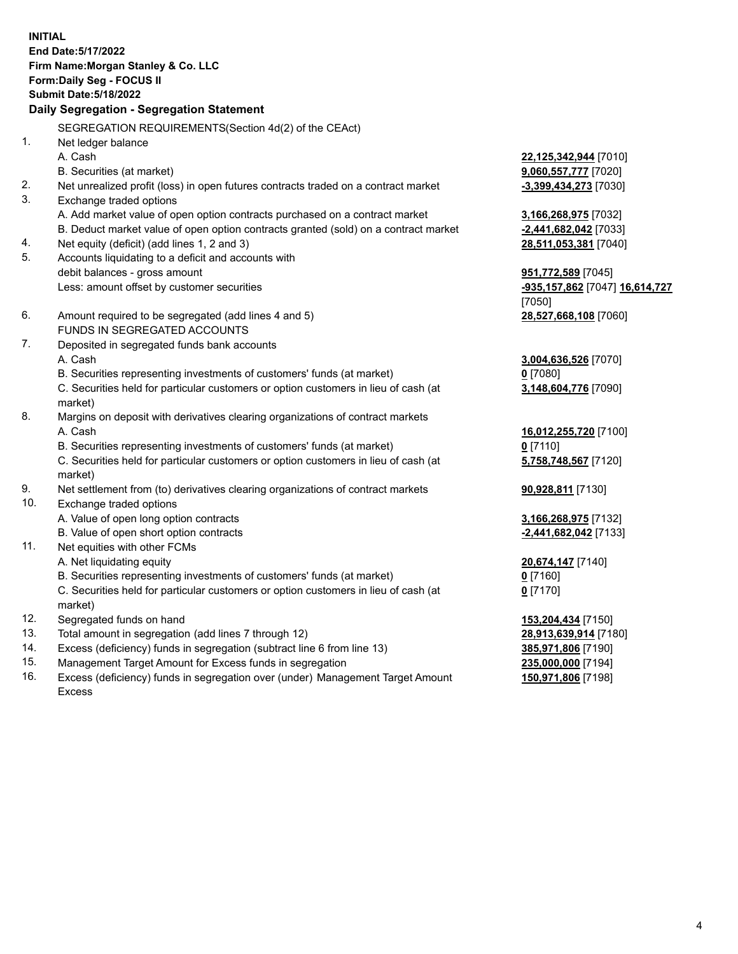**INITIAL End Date:5/17/2022 Firm Name:Morgan Stanley & Co. LLC Form:Daily Seg - FOCUS II Submit Date:5/18/2022 Daily Segregation - Segregation Statement** SEGREGATION REQUIREMENTS(Section 4d(2) of the CEAct) 1. Net ledger balance A. Cash **22,125,342,944** [7010] B. Securities (at market) **9,060,557,777** [7020] 2. Net unrealized profit (loss) in open futures contracts traded on a contract market **-3,399,434,273** [7030] 3. Exchange traded options A. Add market value of open option contracts purchased on a contract market **3,166,268,975** [7032] B. Deduct market value of open option contracts granted (sold) on a contract market **-2,441,682,042** [7033] 4. Net equity (deficit) (add lines 1, 2 and 3) **28,511,053,381** [7040] 5. Accounts liquidating to a deficit and accounts with debit balances - gross amount **951,772,589** [7045] Less: amount offset by customer securities **-935,157,862** [7047] **16,614,727** [7050] 6. Amount required to be segregated (add lines 4 and 5) **28,527,668,108** [7060] FUNDS IN SEGREGATED ACCOUNTS 7. Deposited in segregated funds bank accounts A. Cash **3,004,636,526** [7070] B. Securities representing investments of customers' funds (at market) **0** [7080] C. Securities held for particular customers or option customers in lieu of cash (at market) **3,148,604,776** [7090] 8. Margins on deposit with derivatives clearing organizations of contract markets A. Cash **16,012,255,720** [7100] B. Securities representing investments of customers' funds (at market) **0** [7110] C. Securities held for particular customers or option customers in lieu of cash (at market) **5,758,748,567** [7120] 9. Net settlement from (to) derivatives clearing organizations of contract markets **90,928,811** [7130] 10. Exchange traded options A. Value of open long option contracts **3,166,268,975** [7132] B. Value of open short option contracts **-2,441,682,042** [7133] 11. Net equities with other FCMs A. Net liquidating equity **20,674,147** [7140] B. Securities representing investments of customers' funds (at market) **0** [7160] C. Securities held for particular customers or option customers in lieu of cash (at market) **0** [7170] 12. Segregated funds on hand **153,204,434** [7150] 13. Total amount in segregation (add lines 7 through 12) **28,913,639,914** [7180] 14. Excess (deficiency) funds in segregation (subtract line 6 from line 13) **385,971,806** [7190] 15. Management Target Amount for Excess funds in segregation **235,000,000** [7194]

16. Excess (deficiency) funds in segregation over (under) Management Target Amount Excess

**150,971,806** [7198]